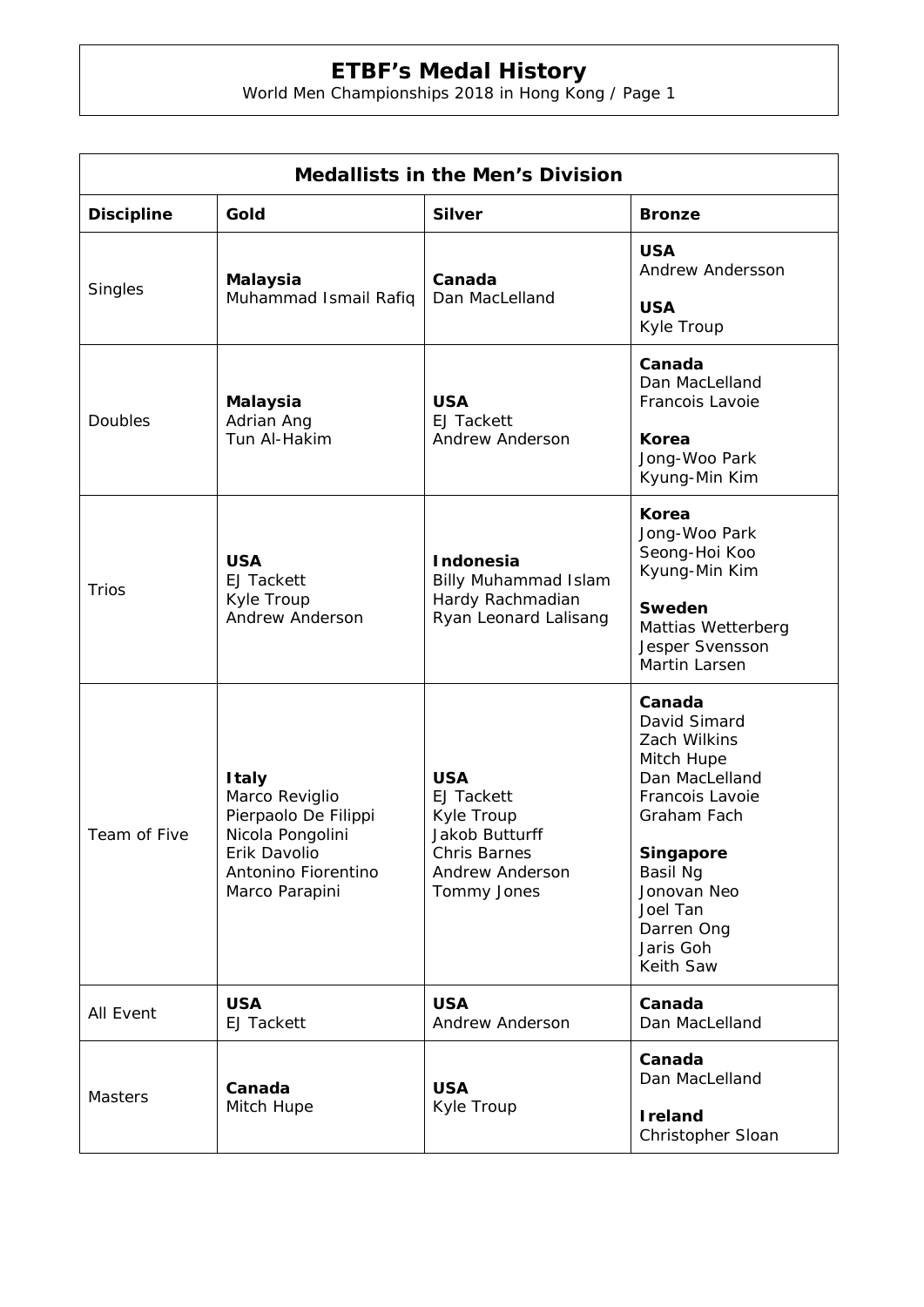## **ETBF's Medal History**

World Men Championships 2018 in Hong Kong / Page 1

| <b>Medallists in the Men's Division</b> |                                                                                                                                     |                                                                                                                          |                                                                                                                                                                                                      |  |
|-----------------------------------------|-------------------------------------------------------------------------------------------------------------------------------------|--------------------------------------------------------------------------------------------------------------------------|------------------------------------------------------------------------------------------------------------------------------------------------------------------------------------------------------|--|
| <b>Discipline</b>                       | Gold                                                                                                                                | <b>Silver</b>                                                                                                            | <b>Bronze</b>                                                                                                                                                                                        |  |
| Singles                                 | <b>Malaysia</b><br>Muhammad Ismail Rafiq                                                                                            | Canada<br>Dan MacLelland                                                                                                 | <b>USA</b><br>Andrew Andersson<br><b>USA</b>                                                                                                                                                         |  |
| Doubles                                 | <b>Malaysia</b><br>Adrian Ang<br>Tun Al-Hakim                                                                                       | <b>USA</b><br><b>EJ Tackett</b><br>Andrew Anderson                                                                       | Kyle Troup<br>Canada<br>Dan MacLelland<br>Francois Lavoie<br><b>Korea</b><br>Jong-Woo Park<br>Kyung-Min Kim                                                                                          |  |
| <b>Trios</b>                            | <b>USA</b><br><b>EJ Tackett</b><br>Kyle Troup<br>Andrew Anderson                                                                    | <b>Indonesia</b><br><b>Billy Muhammad Islam</b><br>Hardy Rachmadian<br>Ryan Leonard Lalisang                             | Korea<br>Jong-Woo Park<br>Seong-Hoi Koo<br>Kyung-Min Kim<br>Sweden<br>Mattias Wetterberg<br>Jesper Svensson<br>Martin Larsen                                                                         |  |
| Team of Five                            | <b>Italy</b><br>Marco Reviglio<br>Pierpaolo De Filippi<br>Nicola Pongolini<br>Erik Davolio<br>Antonino Fiorentino<br>Marco Parapini | <b>USA</b><br><b>EJ Tackett</b><br>Kyle Troup<br><b>Jakob Butturff</b><br>Chris Barnes<br>Andrew Anderson<br>Tommy Jones | Canada<br>David Simard<br>Zach Wilkins<br>Mitch Hupe<br>Dan MacLelland<br>Francois Lavoie<br>Graham Fach<br>Singapore<br>Basil Ng<br>Jonovan Neo<br>Joel Tan<br>Darren Ong<br>Jaris Goh<br>Keith Saw |  |
| All Event                               | <b>USA</b><br><b>EJ Tackett</b>                                                                                                     | <b>USA</b><br>Andrew Anderson                                                                                            | Canada<br>Dan MacLelland                                                                                                                                                                             |  |
| <b>Masters</b>                          | Canada<br>Mitch Hupe                                                                                                                | <b>USA</b><br>Kyle Troup                                                                                                 | Canada<br>Dan MacLelland<br><b>I</b> reland<br>Christopher Sloan                                                                                                                                     |  |